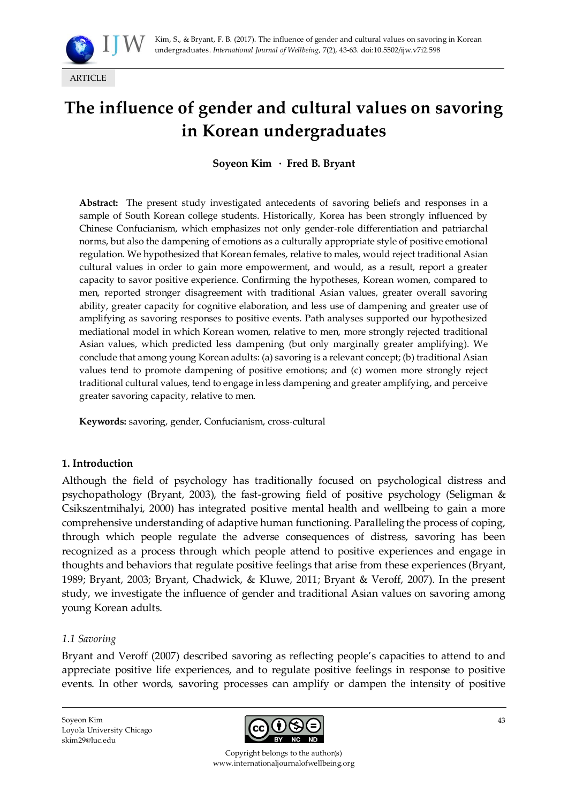

# **The influence of gender and cultural values on savoring in Korean undergraduates**

**Soyeon Kim · Fred B. Bryant**

**Abstract:** The present study investigated antecedents of savoring beliefs and responses in a sample of South Korean college students. Historically, Korea has been strongly influenced by Chinese Confucianism, which emphasizes not only gender-role differentiation and patriarchal norms, but also the dampening of emotions as a culturally appropriate style of positive emotional regulation. We hypothesized that Korean females, relative to males, would reject traditional Asian cultural values in order to gain more empowerment, and would, as a result, report a greater capacity to savor positive experience. Confirming the hypotheses, Korean women, compared to men, reported stronger disagreement with traditional Asian values, greater overall savoring ability, greater capacity for cognitive elaboration, and less use of dampening and greater use of amplifying as savoring responses to positive events. Path analyses supported our hypothesized mediational model in which Korean women, relative to men, more strongly rejected traditional Asian values, which predicted less dampening (but only marginally greater amplifying). We conclude that among young Korean adults: (a) savoring is a relevant concept; (b) traditional Asian values tend to promote dampening of positive emotions; and (c) women more strongly reject traditional cultural values, tend to engage in less dampening and greater amplifying, and perceive greater savoring capacity, relative to men.

**Keywords:** savoring, gender, Confucianism, cross-cultural

## **1. Introduction**

Although the field of psychology has traditionally focused on psychological distress and psychopathology (Bryant, 2003), the fast-growing field of positive psychology (Seligman & Csikszentmihalyi, 2000) has integrated positive mental health and wellbeing to gain a more comprehensive understanding of adaptive human functioning. Paralleling the process of coping, through which people regulate the adverse consequences of distress, savoring has been recognized as a process through which people attend to positive experiences and engage in thoughts and behaviors that regulate positive feelings that arise from these experiences (Bryant, 1989; Bryant, 2003; Bryant, Chadwick, & Kluwe, 2011; Bryant & Veroff, 2007). In the present study, we investigate the influence of gender and traditional Asian values on savoring among young Korean adults.

#### *1.1 Savoring*

Bryant and Veroff (2007) described savoring as reflecting people's capacities to attend to and appreciate positive life experiences, and to regulate positive feelings in response to positive events. In other words, savoring processes can amplify or dampen the intensity of positive



Copyright belongs to the author(s) www.internationaljournalofwellbeing.org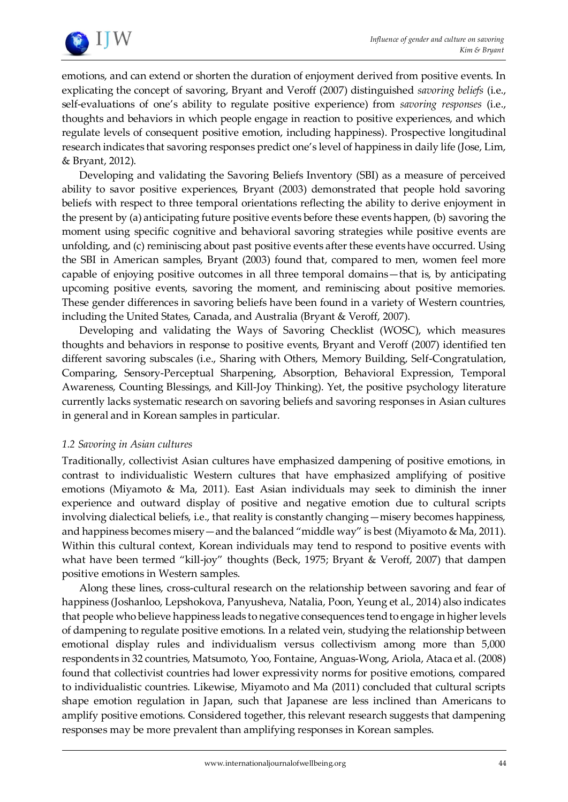

emotions, and can extend or shorten the duration of enjoyment derived from positive events. In explicating the concept of savoring, Bryant and Veroff (2007) distinguished *savoring beliefs* (i.e., self-evaluations of one's ability to regulate positive experience) from *savoring responses* (i.e., thoughts and behaviors in which people engage in reaction to positive experiences, and which regulate levels of consequent positive emotion, including happiness). Prospective longitudinal research indicates that savoring responses predict one's level of happiness in daily life (Jose, Lim, & Bryant, 2012).

Developing and validating the Savoring Beliefs Inventory (SBI) as a measure of perceived ability to savor positive experiences, Bryant (2003) demonstrated that people hold savoring beliefs with respect to three temporal orientations reflecting the ability to derive enjoyment in the present by (a) anticipating future positive events before these events happen, (b) savoring the moment using specific cognitive and behavioral savoring strategies while positive events are unfolding, and (c) reminiscing about past positive events after these events have occurred. Using the SBI in American samples, Bryant (2003) found that, compared to men, women feel more capable of enjoying positive outcomes in all three temporal domains—that is, by anticipating upcoming positive events, savoring the moment, and reminiscing about positive memories. These gender differences in savoring beliefs have been found in a variety of Western countries, including the United States, Canada, and Australia (Bryant & Veroff, 2007).

Developing and validating the Ways of Savoring Checklist (WOSC), which measures thoughts and behaviors in response to positive events, Bryant and Veroff (2007) identified ten different savoring subscales (i.e., Sharing with Others, Memory Building, Self-Congratulation, Comparing, Sensory-Perceptual Sharpening, Absorption, Behavioral Expression, Temporal Awareness, Counting Blessings, and Kill-Joy Thinking). Yet, the positive psychology literature currently lacks systematic research on savoring beliefs and savoring responses in Asian cultures in general and in Korean samples in particular.

#### *1.2 Savoring in Asian cultures*

Traditionally, collectivist Asian cultures have emphasized dampening of positive emotions, in contrast to individualistic Western cultures that have emphasized amplifying of positive emotions (Miyamoto & Ma, 2011). East Asian individuals may seek to diminish the inner experience and outward display of positive and negative emotion due to cultural scripts involving dialectical beliefs, i.e., that reality is constantly changing—misery becomes happiness, and happiness becomes misery—and the balanced "middle way" is best (Miyamoto & Ma, 2011). Within this cultural context, Korean individuals may tend to respond to positive events with what have been termed "kill-joy" thoughts (Beck, 1975; Bryant & Veroff, 2007) that dampen positive emotions in Western samples.

Along these lines, cross-cultural research on the relationship between savoring and fear of happiness (Joshanloo, Lepshokova, Panyusheva, Natalia, Poon, Yeung et al., 2014) also indicates that people who believe happiness leads to negative consequences tend to engage in higher levels of dampening to regulate positive emotions. In a related vein, studying the relationship between emotional display rules and individualism versus collectivism among more than 5,000 respondents in 32 countries, Matsumoto, Yoo, Fontaine, Anguas-Wong, Ariola, Ataca et al. (2008) found that collectivist countries had lower expressivity norms for positive emotions, compared to individualistic countries. Likewise, Miyamoto and Ma (2011) concluded that cultural scripts shape emotion regulation in Japan, such that Japanese are less inclined than Americans to amplify positive emotions. Considered together, this relevant research suggests that dampening responses may be more prevalent than amplifying responses in Korean samples.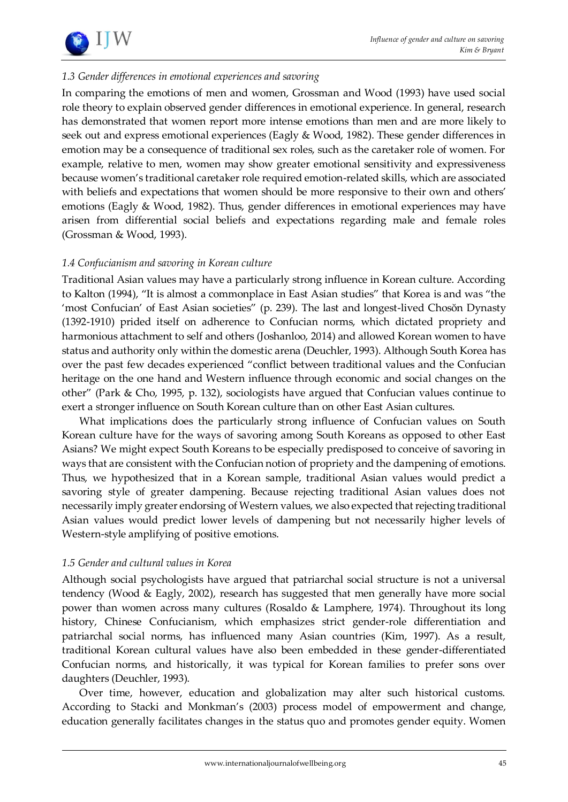

# *1.3 Gender differences in emotional experiences and savoring*

In comparing the emotions of men and women, Grossman and Wood (1993) have used social role theory to explain observed gender differences in emotional experience. In general, research has demonstrated that women report more intense emotions than men and are more likely to seek out and express emotional experiences (Eagly & Wood, 1982). These gender differences in emotion may be a consequence of traditional sex roles, such as the caretaker role of women. For example, relative to men, women may show greater emotional sensitivity and expressiveness because women's traditional caretaker role required emotion-related skills, which are associated with beliefs and expectations that women should be more responsive to their own and others' emotions (Eagly & Wood, 1982). Thus, gender differences in emotional experiences may have arisen from differential social beliefs and expectations regarding male and female roles (Grossman & Wood, 1993).

## *1.4 Confucianism and savoring in Korean culture*

Traditional Asian values may have a particularly strong influence in Korean culture. According to Kalton (1994), "It is almost a commonplace in East Asian studies" that Korea is and was "the 'most Confucian' of East Asian societies" (p. 239). The last and longest-lived Chosŏn Dynasty (1392-1910) prided itself on adherence to Confucian norms, which dictated propriety and harmonious attachment to self and others (Joshanloo, 2014) and allowed Korean women to have status and authority only within the domestic arena (Deuchler, 1993). Although South Korea has over the past few decades experienced "conflict between traditional values and the Confucian heritage on the one hand and Western influence through economic and social changes on the other" (Park & Cho, 1995, p. 132), sociologists have argued that Confucian values continue to exert a stronger influence on South Korean culture than on other East Asian cultures.

What implications does the particularly strong influence of Confucian values on South Korean culture have for the ways of savoring among South Koreans as opposed to other East Asians? We might expect South Koreans to be especially predisposed to conceive of savoring in ways that are consistent with the Confucian notion of propriety and the dampening of emotions. Thus, we hypothesized that in a Korean sample, traditional Asian values would predict a savoring style of greater dampening. Because rejecting traditional Asian values does not necessarily imply greater endorsing of Western values, we also expected that rejecting traditional Asian values would predict lower levels of dampening but not necessarily higher levels of Western-style amplifying of positive emotions.

#### *1.5 Gender and cultural values in Korea*

Although social psychologists have argued that patriarchal social structure is not a universal tendency (Wood & Eagly, 2002), research has suggested that men generally have more social power than women across many cultures (Rosaldo & Lamphere, 1974). Throughout its long history, Chinese Confucianism, which emphasizes strict gender-role differentiation and patriarchal social norms, has influenced many Asian countries (Kim, 1997). As a result, traditional Korean cultural values have also been embedded in these gender-differentiated Confucian norms, and historically, it was typical for Korean families to prefer sons over daughters (Deuchler, 1993).

Over time, however, education and globalization may alter such historical customs. According to Stacki and Monkman's (2003) process model of empowerment and change, education generally facilitates changes in the status quo and promotes gender equity. Women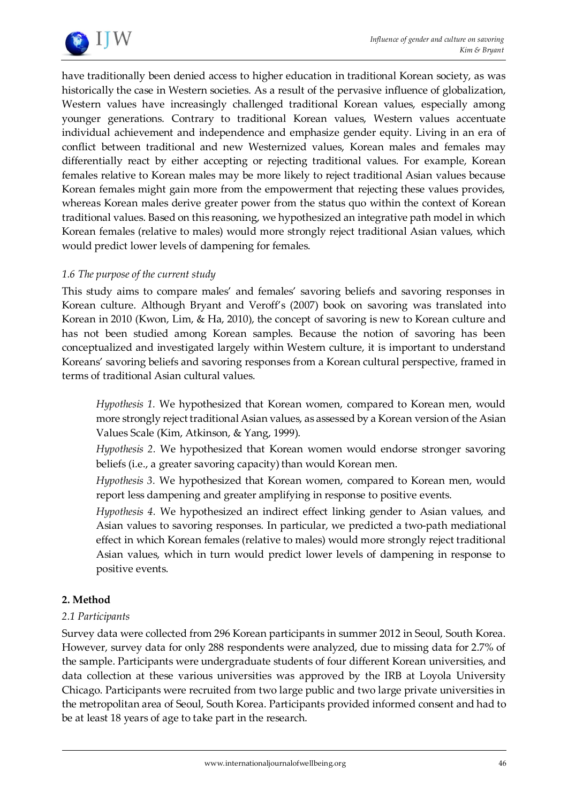

have traditionally been denied access to higher education in traditional Korean society, as was historically the case in Western societies. As a result of the pervasive influence of globalization, Western values have increasingly challenged traditional Korean values, especially among younger generations. Contrary to traditional Korean values, Western values accentuate individual achievement and independence and emphasize gender equity. Living in an era of conflict between traditional and new Westernized values, Korean males and females may differentially react by either accepting or rejecting traditional values. For example, Korean females relative to Korean males may be more likely to reject traditional Asian values because Korean females might gain more from the empowerment that rejecting these values provides, whereas Korean males derive greater power from the status quo within the context of Korean traditional values. Based on this reasoning, we hypothesized an integrative path model in which Korean females (relative to males) would more strongly reject traditional Asian values, which would predict lower levels of dampening for females.

## *1.6 The purpose of the current study*

This study aims to compare males' and females' savoring beliefs and savoring responses in Korean culture. Although Bryant and Veroff's (2007) book on savoring was translated into Korean in 2010 (Kwon, Lim, & Ha, 2010), the concept of savoring is new to Korean culture and has not been studied among Korean samples. Because the notion of savoring has been conceptualized and investigated largely within Western culture, it is important to understand Koreans' savoring beliefs and savoring responses from a Korean cultural perspective, framed in terms of traditional Asian cultural values.

*Hypothesis 1.* We hypothesized that Korean women, compared to Korean men, would more strongly reject traditional Asian values, as assessed by a Korean version of the Asian Values Scale (Kim, Atkinson, & Yang, 1999).

*Hypothesis 2.* We hypothesized that Korean women would endorse stronger savoring beliefs (i.e., a greater savoring capacity) than would Korean men.

*Hypothesis 3.* We hypothesized that Korean women, compared to Korean men, would report less dampening and greater amplifying in response to positive events.

*Hypothesis 4.* We hypothesized an indirect effect linking gender to Asian values, and Asian values to savoring responses. In particular, we predicted a two-path mediational effect in which Korean females (relative to males) would more strongly reject traditional Asian values, which in turn would predict lower levels of dampening in response to positive events.

#### **2. Method**

#### *2.1 Participants*

Survey data were collected from 296 Korean participants in summer 2012 in Seoul, South Korea. However, survey data for only 288 respondents were analyzed, due to missing data for 2.7% of the sample. Participants were undergraduate students of four different Korean universities, and data collection at these various universities was approved by the IRB at Loyola University Chicago. Participants were recruited from two large public and two large private universities in the metropolitan area of Seoul, South Korea. Participants provided informed consent and had to be at least 18 years of age to take part in the research.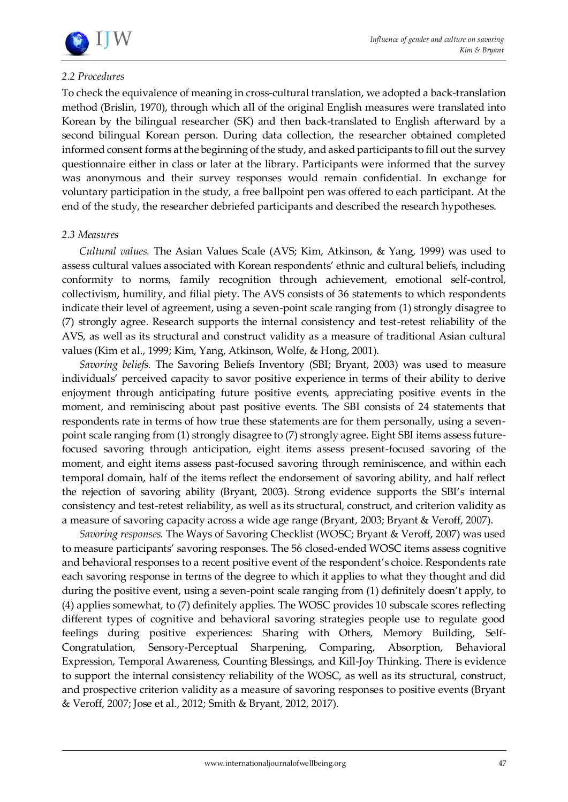

## *2.2 Procedures*

To check the equivalence of meaning in cross-cultural translation, we adopted a back-translation method (Brislin, 1970), through which all of the original English measures were translated into Korean by the bilingual researcher (SK) and then back-translated to English afterward by a second bilingual Korean person. During data collection, the researcher obtained completed informed consent forms at the beginning of the study, and asked participants to fill out the survey questionnaire either in class or later at the library. Participants were informed that the survey was anonymous and their survey responses would remain confidential. In exchange for voluntary participation in the study, a free ballpoint pen was offered to each participant. At the end of the study, the researcher debriefed participants and described the research hypotheses.

#### *2.3 Measures*

*Cultural values.* The Asian Values Scale (AVS; Kim, Atkinson, & Yang, 1999) was used to assess cultural values associated with Korean respondents' ethnic and cultural beliefs, including conformity to norms, family recognition through achievement, emotional self-control, collectivism, humility, and filial piety. The AVS consists of 36 statements to which respondents indicate their level of agreement, using a seven-point scale ranging from (1) strongly disagree to (7) strongly agree. Research supports the internal consistency and test-retest reliability of the AVS, as well as its structural and construct validity as a measure of traditional Asian cultural values (Kim et al., 1999; Kim, Yang, Atkinson, Wolfe, & Hong, 2001).

*Savoring beliefs.* The Savoring Beliefs Inventory (SBI; Bryant, 2003) was used to measure individuals' perceived capacity to savor positive experience in terms of their ability to derive enjoyment through anticipating future positive events, appreciating positive events in the moment, and reminiscing about past positive events. The SBI consists of 24 statements that respondents rate in terms of how true these statements are for them personally, using a sevenpoint scale ranging from (1) strongly disagree to (7) strongly agree. Eight SBI items assess futurefocused savoring through anticipation, eight items assess present-focused savoring of the moment, and eight items assess past-focused savoring through reminiscence, and within each temporal domain, half of the items reflect the endorsement of savoring ability, and half reflect the rejection of savoring ability (Bryant, 2003). Strong evidence supports the SBI's internal consistency and test-retest reliability, as well as its structural, construct, and criterion validity as a measure of savoring capacity across a wide age range (Bryant, 2003; Bryant & Veroff, 2007).

*Savoring responses.* The Ways of Savoring Checklist (WOSC; Bryant & Veroff, 2007) was used to measure participants' savoring responses. The 56 closed-ended WOSC items assess cognitive and behavioral responses to a recent positive event of the respondent's choice. Respondents rate each savoring response in terms of the degree to which it applies to what they thought and did during the positive event, using a seven-point scale ranging from (1) definitely doesn't apply, to (4) applies somewhat, to (7) definitely applies. The WOSC provides 10 subscale scores reflecting different types of cognitive and behavioral savoring strategies people use to regulate good feelings during positive experiences: Sharing with Others, Memory Building, Self-Congratulation, Sensory-Perceptual Sharpening, Comparing, Absorption, Behavioral Expression, Temporal Awareness, Counting Blessings, and Kill-Joy Thinking. There is evidence to support the internal consistency reliability of the WOSC, as well as its structural, construct, and prospective criterion validity as a measure of savoring responses to positive events (Bryant & Veroff, 2007; Jose et al., 2012; Smith & Bryant, 2012, 2017).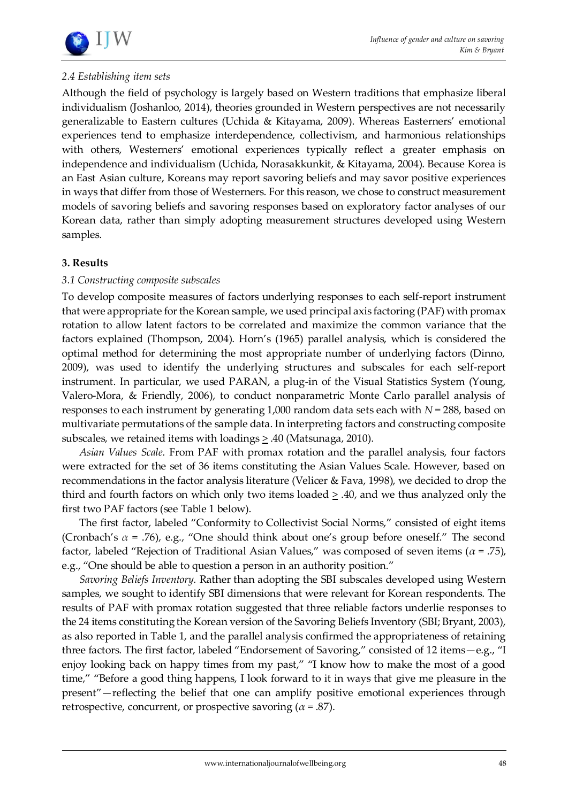

## *2.4 Establishing item sets*

Although the field of psychology is largely based on Western traditions that emphasize liberal individualism (Joshanloo, 2014), theories grounded in Western perspectives are not necessarily generalizable to Eastern cultures (Uchida & Kitayama, 2009). Whereas Easterners' emotional experiences tend to emphasize interdependence, collectivism, and harmonious relationships with others, Westerners' emotional experiences typically reflect a greater emphasis on independence and individualism (Uchida, Norasakkunkit, & Kitayama, 2004). Because Korea is an East Asian culture, Koreans may report savoring beliefs and may savor positive experiences in ways that differ from those of Westerners. For this reason, we chose to construct measurement models of savoring beliefs and savoring responses based on exploratory factor analyses of our Korean data, rather than simply adopting measurement structures developed using Western samples.

## **3. Results**

## *3.1 Constructing composite subscales*

To develop composite measures of factors underlying responses to each self-report instrument that were appropriate for the Korean sample, we used principal axis factoring (PAF) with promax rotation to allow latent factors to be correlated and maximize the common variance that the factors explained (Thompson, 2004). Horn's (1965) parallel analysis, which is considered the optimal method for determining the most appropriate number of underlying factors (Dinno, 2009), was used to identify the underlying structures and subscales for each self-report instrument. In particular, we used PARAN, a plug-in of the Visual Statistics System (Young, Valero-Mora, & Friendly, 2006), to conduct nonparametric Monte Carlo parallel analysis of responses to each instrument by generating 1,000 random data sets each with *N* = 288, based on multivariate permutations of the sample data. In interpreting factors and constructing composite subscales, we retained items with loadings  $\geq$  .40 (Matsunaga, 2010).

*Asian Values Scale.* From PAF with promax rotation and the parallel analysis, four factors were extracted for the set of 36 items constituting the Asian Values Scale. However, based on recommendations in the factor analysis literature (Velicer & Fava, 1998), we decided to drop the third and fourth factors on which only two items loaded  $\geq$  .40, and we thus analyzed only the first two PAF factors (see Table 1 below).

The first factor, labeled "Conformity to Collectivist Social Norms," consisted of eight items (Cronbach's *α* = .76), e.g., "One should think about one's group before oneself." The second factor, labeled "Rejection of Traditional Asian Values," was composed of seven items (*α* = .75), e.g., "One should be able to question a person in an authority position."

*Savoring Beliefs Inventory.* Rather than adopting the SBI subscales developed using Western samples, we sought to identify SBI dimensions that were relevant for Korean respondents. The results of PAF with promax rotation suggested that three reliable factors underlie responses to the 24 items constituting the Korean version of the Savoring Beliefs Inventory (SBI; Bryant, 2003), as also reported in Table 1, and the parallel analysis confirmed the appropriateness of retaining three factors. The first factor, labeled "Endorsement of Savoring," consisted of 12 items—e.g., "I enjoy looking back on happy times from my past," "I know how to make the most of a good time," "Before a good thing happens, I look forward to it in ways that give me pleasure in the present"—reflecting the belief that one can amplify positive emotional experiences through retrospective, concurrent, or prospective savoring  $(a = .87)$ .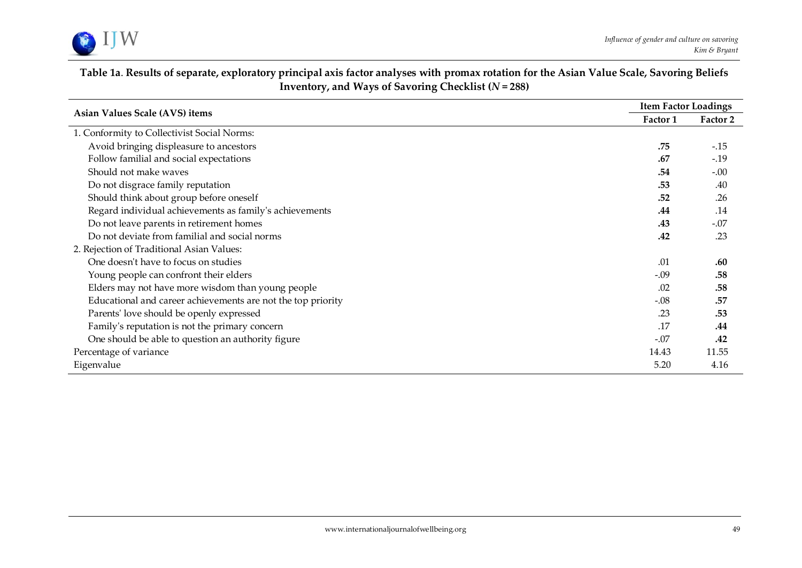

|                                                              |          | <b>Item Factor Loadings</b> |  |
|--------------------------------------------------------------|----------|-----------------------------|--|
| Asian Values Scale (AVS) items                               | Factor 1 | Factor 2                    |  |
| 1. Conformity to Collectivist Social Norms:                  |          |                             |  |
| Avoid bringing displeasure to ancestors                      | .75      | $-15$                       |  |
| Follow familial and social expectations                      | .67      | $-19$                       |  |
| Should not make waves                                        | .54      | $-.00$                      |  |
| Do not disgrace family reputation                            | .53      | .40                         |  |
| Should think about group before oneself                      | .52      | .26                         |  |
| Regard individual achievements as family's achievements      | .44      | .14                         |  |
| Do not leave parents in retirement homes                     | .43      | $-.07$                      |  |
| Do not deviate from familial and social norms                | .42      | .23                         |  |
| 2. Rejection of Traditional Asian Values:                    |          |                             |  |
| One doesn't have to focus on studies                         | .01      | .60                         |  |
| Young people can confront their elders                       | $-.09$   | .58                         |  |
| Elders may not have more wisdom than young people            | .02      | .58                         |  |
| Educational and career achievements are not the top priority | $-.08$   | .57                         |  |
| Parents' love should be openly expressed                     | .23      | .53                         |  |
| Family's reputation is not the primary concern               | .17      | .44                         |  |
| One should be able to question an authority figure           | $-.07$   | .42                         |  |
| Percentage of variance                                       | 14.43    | 11.55                       |  |
| Eigenvalue                                                   | 5.20     | 4.16                        |  |

## **Table 1a**. **Results of separate, exploratory principal axis factor analyses with promax rotation for the Asian Value Scale, Savoring Beliefs Inventory, and Ways of Savoring Checklist (***N* **= 288)**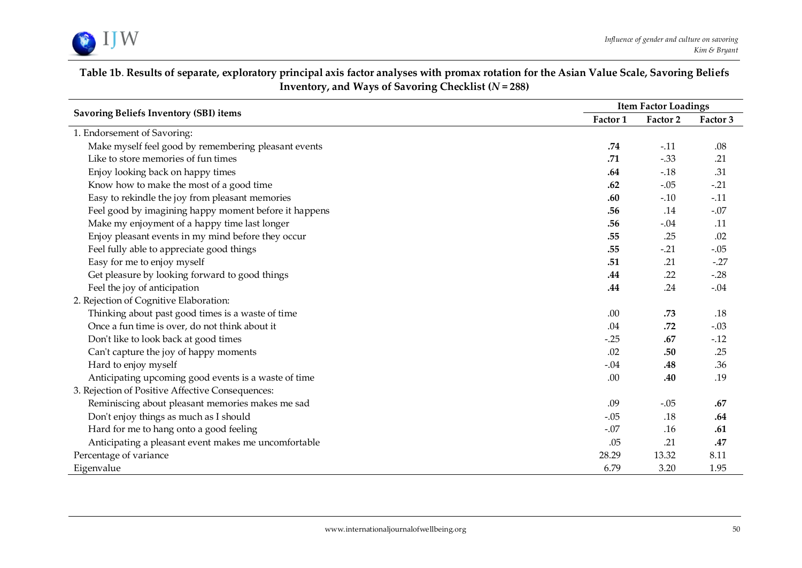

|                                                       | <b>Item Factor Loadings</b> |          |          |  |  |  |  |
|-------------------------------------------------------|-----------------------------|----------|----------|--|--|--|--|
| <b>Savoring Beliefs Inventory (SBI) items</b>         |                             | Factor 2 | Factor 3 |  |  |  |  |
| 1. Endorsement of Savoring:                           |                             |          |          |  |  |  |  |
| Make myself feel good by remembering pleasant events  | .74                         | $-.11$   | $.08$    |  |  |  |  |
| Like to store memories of fun times                   | .71                         | $-.33$   | .21      |  |  |  |  |
| Enjoy looking back on happy times                     | .64                         | $-.18$   | .31      |  |  |  |  |
| Know how to make the most of a good time              | .62                         | $-.05$   | $-.21$   |  |  |  |  |
| Easy to rekindle the joy from pleasant memories       | .60                         | $-.10$   | $-.11$   |  |  |  |  |
| Feel good by imagining happy moment before it happens | .56                         | .14      | $-.07$   |  |  |  |  |
| Make my enjoyment of a happy time last longer         | .56                         | $-.04$   | .11      |  |  |  |  |
| Enjoy pleasant events in my mind before they occur    | .55                         | .25      | .02      |  |  |  |  |
| Feel fully able to appreciate good things             | .55                         | $-.21$   | $-.05$   |  |  |  |  |
| Easy for me to enjoy myself                           | .51                         | .21      | $-.27$   |  |  |  |  |
| Get pleasure by looking forward to good things        | .44                         | .22      | $-.28$   |  |  |  |  |
| Feel the joy of anticipation                          | .44                         | .24      | $-.04$   |  |  |  |  |
| 2. Rejection of Cognitive Elaboration:                |                             |          |          |  |  |  |  |
| Thinking about past good times is a waste of time     | .00                         | .73      | .18      |  |  |  |  |
| Once a fun time is over, do not think about it        | .04                         | .72      | $-.03$   |  |  |  |  |
| Don't like to look back at good times                 | $-.25$                      | .67      | $-.12$   |  |  |  |  |
| Can't capture the joy of happy moments                | .02                         | .50      | .25      |  |  |  |  |
| Hard to enjoy myself                                  | $-.04$                      | .48      | .36      |  |  |  |  |
| Anticipating upcoming good events is a waste of time  | .00                         | .40      | .19      |  |  |  |  |
| 3. Rejection of Positive Affective Consequences:      |                             |          |          |  |  |  |  |
| Reminiscing about pleasant memories makes me sad      | .09                         | $-.05$   | .67      |  |  |  |  |
| Don't enjoy things as much as I should                | $-.05$                      | .18      | .64      |  |  |  |  |
| Hard for me to hang onto a good feeling               | $-.07$                      | .16      | .61      |  |  |  |  |
| Anticipating a pleasant event makes me uncomfortable  | .05                         | .21      | .47      |  |  |  |  |
| Percentage of variance                                | 28.29                       | 13.32    | 8.11     |  |  |  |  |
| Eigenvalue                                            | 6.79                        | 3.20     | 1.95     |  |  |  |  |

**Table 1b**. **Results of separate, exploratory principal axis factor analyses with promax rotation for the Asian Value Scale, Savoring Beliefs Inventory, and Ways of Savoring Checklist (***N* **= 288)**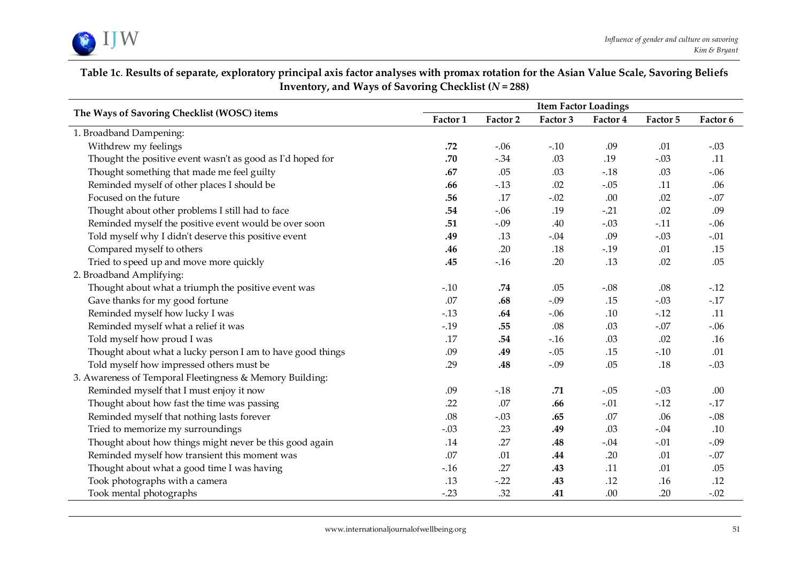

|                                                            | <b>Item Factor Loadings</b> |          |          |          |          |          |  |  |  |  |
|------------------------------------------------------------|-----------------------------|----------|----------|----------|----------|----------|--|--|--|--|
| The Ways of Savoring Checklist (WOSC) items                | Factor 1                    | Factor 2 | Factor 3 | Factor 4 | Factor 5 | Factor 6 |  |  |  |  |
| 1. Broadband Dampening:                                    |                             |          |          |          |          |          |  |  |  |  |
| Withdrew my feelings                                       | .72                         | $-.06$   | $-.10$   | .09      | .01      | $-.03$   |  |  |  |  |
| Thought the positive event wasn't as good as I'd hoped for | .70                         | $-.34$   | .03      | .19      | $-.03$   | .11      |  |  |  |  |
| Thought something that made me feel guilty                 | .67                         | .05      | .03      | $-.18$   | .03      | $-.06$   |  |  |  |  |
| Reminded myself of other places I should be                | .66                         | $-.13$   | .02      | $-.05$   | .11      | .06      |  |  |  |  |
| Focused on the future                                      | .56                         | $.17$    | $-.02$   | .00      | .02      | $-.07$   |  |  |  |  |
| Thought about other problems I still had to face           | .54                         | $-.06$   | .19      | $-.21$   | .02      | .09      |  |  |  |  |
| Reminded myself the positive event would be over soon      | .51                         | $-.09$   | .40      | $-.03$   | $-.11$   | $-.06$   |  |  |  |  |
| Told myself why I didn't deserve this positive event       | .49                         | .13      | $-.04$   | .09      | $-.03$   | $-.01$   |  |  |  |  |
| Compared myself to others                                  | .46                         | .20      | $.18\,$  | $-.19$   | .01      | .15      |  |  |  |  |
| Tried to speed up and move more quickly                    | .45                         | $-.16$   | .20      | .13      | .02      | .05      |  |  |  |  |
| 2. Broadband Amplifying:                                   |                             |          |          |          |          |          |  |  |  |  |
| Thought about what a triumph the positive event was        | $-.10$                      | .74      | .05      | $-.08$   | .08      | $-.12$   |  |  |  |  |
| Gave thanks for my good fortune                            | .07                         | .68      | $-.09$   | .15      | $-.03$   | $-.17$   |  |  |  |  |
| Reminded myself how lucky I was                            | $-.13$                      | .64      | $-.06$   | .10      | $-.12$   | .11      |  |  |  |  |
| Reminded myself what a relief it was                       | $-.19$                      | .55      | .08      | .03      | $-.07$   | $-.06$   |  |  |  |  |
| Told myself how proud I was                                | .17                         | .54      | $-16$    | .03      | .02      | .16      |  |  |  |  |
| Thought about what a lucky person I am to have good things | .09                         | .49      | $-.05$   | .15      | $-.10$   | .01      |  |  |  |  |
| Told myself how impressed others must be                   | .29                         | .48      | $-.09$   | .05      | $.18\,$  | $-.03$   |  |  |  |  |
| 3. Awareness of Temporal Fleetingness & Memory Building:   |                             |          |          |          |          |          |  |  |  |  |
| Reminded myself that I must enjoy it now                   | .09                         | $-.18$   | .71      | $-.05$   | $-.03$   | .00      |  |  |  |  |
| Thought about how fast the time was passing                | .22                         | .07      | .66      | $-.01$   | $-.12$   | $-.17$   |  |  |  |  |
| Reminded myself that nothing lasts forever                 | $.08\,$                     | $-.03$   | .65      | .07      | .06      | $-.08$   |  |  |  |  |
| Tried to memorize my surroundings                          | $-.03$                      | .23      | .49      | .03      | $-.04$   | $.10$    |  |  |  |  |
| Thought about how things might never be this good again    | .14                         | .27      | .48      | $-.04$   | $-.01$   | $-.09$   |  |  |  |  |
| Reminded myself how transient this moment was              | .07                         | .01      | .44      | .20      | .01      | $-.07$   |  |  |  |  |
| Thought about what a good time I was having                | $-16$                       | .27      | .43      | .11      | .01      | .05      |  |  |  |  |
| Took photographs with a camera                             | .13                         | $-.22$   | .43      | .12      | .16      | .12      |  |  |  |  |
| Took mental photographs                                    | $-.23$                      | .32      | .41      | .00      | .20      | $-.02$   |  |  |  |  |

**Table 1c**. **Results of separate, exploratory principal axis factor analyses with promax rotation for the Asian Value Scale, Savoring Beliefs Inventory, and Ways of Savoring Checklist (***N* **= 288)**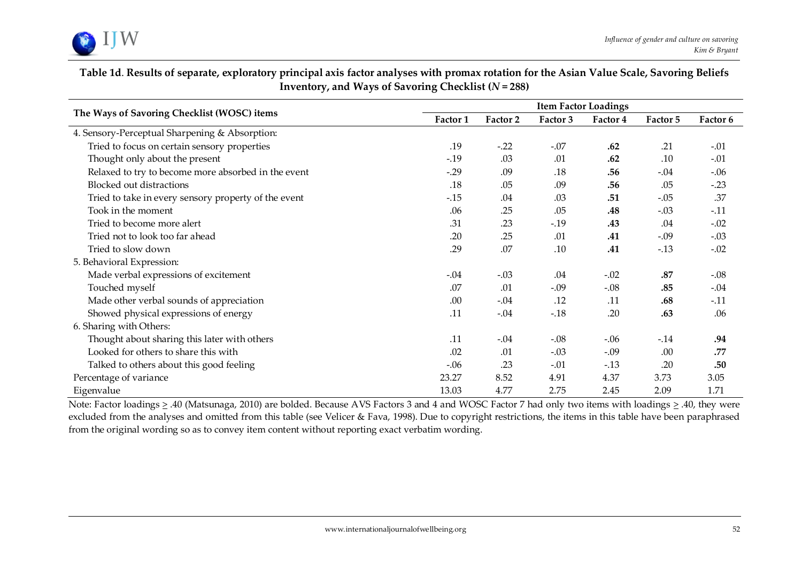

|                                                      | <b>Item Factor Loadings</b> |          |          |          |          |          |  |  |  |  |
|------------------------------------------------------|-----------------------------|----------|----------|----------|----------|----------|--|--|--|--|
| The Ways of Savoring Checklist (WOSC) items          | Factor 1                    | Factor 2 | Factor 3 | Factor 4 | Factor 5 | Factor 6 |  |  |  |  |
| 4. Sensory-Perceptual Sharpening & Absorption:       |                             |          |          |          |          |          |  |  |  |  |
| Tried to focus on certain sensory properties         | .19                         | $-.22$   | $-.07$   | .62      | .21      | $-.01$   |  |  |  |  |
| Thought only about the present                       | $-.19$                      | .03      | .01      | .62      | .10      | $-.01$   |  |  |  |  |
| Relaxed to try to become more absorbed in the event  | $-.29$                      | .09      | .18      | .56      | $-.04$   | $-.06$   |  |  |  |  |
| <b>Blocked out distractions</b>                      | .18                         | .05      | .09      | .56      | .05      | $-.23$   |  |  |  |  |
| Tried to take in every sensory property of the event | $-.15$                      | .04      | .03      | .51      | $-.05$   | .37      |  |  |  |  |
| Took in the moment                                   | .06                         | .25      | .05      | .48      | $-.03$   | $-.11$   |  |  |  |  |
| Tried to become more alert                           | .31                         | .23      | $-.19$   | .43      | .04      | $-.02$   |  |  |  |  |
| Tried not to look too far ahead                      | .20                         | .25      | .01      | .41      | $-.09$   | $-.03$   |  |  |  |  |
| Tried to slow down                                   | .29                         | .07      | .10      | .41      | $-13$    | $-.02$   |  |  |  |  |
| 5. Behavioral Expression:                            |                             |          |          |          |          |          |  |  |  |  |
| Made verbal expressions of excitement                | $-.04$                      | $-.03$   | .04      | $-.02$   | .87      | $-.08$   |  |  |  |  |
| Touched myself                                       | .07                         | .01      | $-.09$   | $-.08$   | .85      | $-.04$   |  |  |  |  |
| Made other verbal sounds of appreciation             | .00                         | $-.04$   | .12      | .11      | .68      | $-.11$   |  |  |  |  |
| Showed physical expressions of energy                | .11                         | $-.04$   | $-.18$   | .20      | .63      | .06      |  |  |  |  |
| 6. Sharing with Others:                              |                             |          |          |          |          |          |  |  |  |  |
| Thought about sharing this later with others         | .11                         | $-.04$   | $-.08$   | $-.06$   | $-14$    | .94      |  |  |  |  |
| Looked for others to share this with                 | .02                         | .01      | $-.03$   | $-.09$   | .00      | .77      |  |  |  |  |
| Talked to others about this good feeling             | $-.06$                      | .23      | $-.01$   | $-.13$   | .20      | .50      |  |  |  |  |
| Percentage of variance                               | 23.27                       | 8.52     | 4.91     | 4.37     | 3.73     | 3.05     |  |  |  |  |
| Eigenvalue                                           | 13.03                       | 4.77     | 2.75     | 2.45     | 2.09     | 1.71     |  |  |  |  |

**Table 1d**. **Results of separate, exploratory principal axis factor analyses with promax rotation for the Asian Value Scale, Savoring Beliefs Inventory, and Ways of Savoring Checklist (***N* **= 288)**

Note: Factor loadings  $\geq$  .40 (Matsunaga, 2010) are bolded. Because AVS Factors 3 and 4 and WOSC Factor 7 had only two items with loadings  $\geq$  .40, they were excluded from the analyses and omitted from this table (see Velicer & Fava, 1998). Due to copyright restrictions, the items in this table have been paraphrased from the original wording so as to convey item content without reporting exact verbatim wording.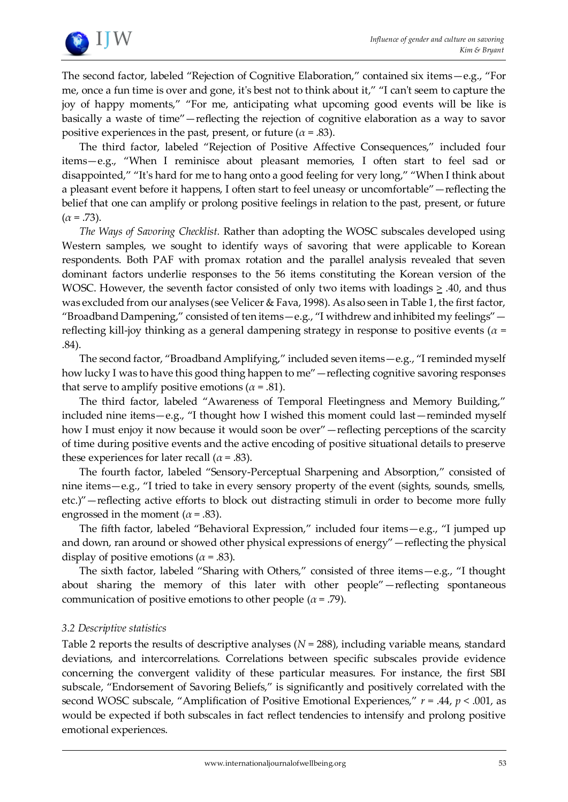

The second factor, labeled "Rejection of Cognitive Elaboration," contained six items—e.g., "For me, once a fun time is over and gone, it's best not to think about it," "I can't seem to capture the joy of happy moments," "For me, anticipating what upcoming good events will be like is basically a waste of time"—reflecting the rejection of cognitive elaboration as a way to savor positive experiences in the past, present, or future  $(\alpha = .83)$ .

The third factor, labeled "Rejection of Positive Affective Consequences," included four items—e.g., "When I reminisce about pleasant memories, I often start to feel sad or disappointed," "It's hard for me to hang onto a good feeling for very long," "When I think about a pleasant event before it happens, I often start to feel uneasy or uncomfortable"—reflecting the belief that one can amplify or prolong positive feelings in relation to the past, present, or future  $(\alpha = .73)$ .

*The Ways of Savoring Checklist.* Rather than adopting the WOSC subscales developed using Western samples, we sought to identify ways of savoring that were applicable to Korean respondents. Both PAF with promax rotation and the parallel analysis revealed that seven dominant factors underlie responses to the 56 items constituting the Korean version of the WOSC. However, the seventh factor consisted of only two items with loadings  $\geq$  .40, and thus was excluded from our analyses (see Velicer & Fava, 1998). As also seen in Table 1, the first factor, "Broadband Dampening," consisted of ten items—e.g., "I withdrew and inhibited my feelings" reflecting kill-joy thinking as a general dampening strategy in response to positive events (*α* = .84).

The second factor, "Broadband Amplifying," included seven items—e.g., "I reminded myself how lucky I was to have this good thing happen to me"—reflecting cognitive savoring responses that serve to amplify positive emotions ( $\alpha$  = .81).

The third factor, labeled "Awareness of Temporal Fleetingness and Memory Building," included nine items—e.g., "I thought how I wished this moment could last—reminded myself how I must enjoy it now because it would soon be over" — reflecting perceptions of the scarcity of time during positive events and the active encoding of positive situational details to preserve these experiences for later recall ( $\alpha$  = .83).

The fourth factor, labeled "Sensory-Perceptual Sharpening and Absorption," consisted of nine items—e.g., "I tried to take in every sensory property of the event (sights, sounds, smells, etc.)"—reflecting active efforts to block out distracting stimuli in order to become more fully engrossed in the moment  $(\alpha = .83)$ .

The fifth factor, labeled "Behavioral Expression," included four items—e.g., "I jumped up and down, ran around or showed other physical expressions of energy"—reflecting the physical display of positive emotions ( $\alpha$  = .83).

The sixth factor, labeled "Sharing with Others," consisted of three items—e.g., "I thought about sharing the memory of this later with other people"—reflecting spontaneous communication of positive emotions to other people  $(\alpha = .79)$ .

#### *3.2 Descriptive statistics*

Table 2 reports the results of descriptive analyses (*N* = 288), including variable means, standard deviations, and intercorrelations. Correlations between specific subscales provide evidence concerning the convergent validity of these particular measures. For instance, the first SBI subscale, "Endorsement of Savoring Beliefs," is significantly and positively correlated with the second WOSC subscale, "Amplification of Positive Emotional Experiences," *r* = .44, *p* < .001, as would be expected if both subscales in fact reflect tendencies to intensify and prolong positive emotional experiences.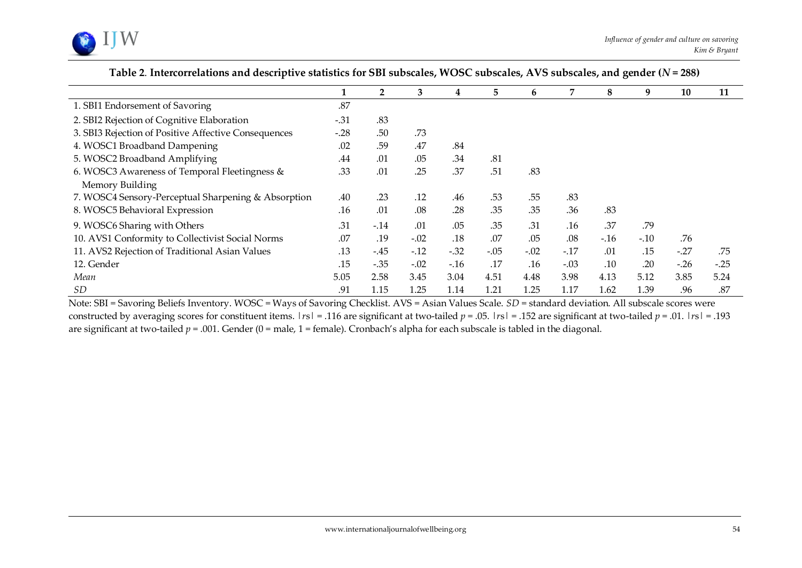

|                                                      | 1      | $\mathbf{2}$ | 3      | 4      | 5      | 6      | 7      | 8      | 9      | 10     | 11     |
|------------------------------------------------------|--------|--------------|--------|--------|--------|--------|--------|--------|--------|--------|--------|
| 1. SBI1 Endorsement of Savoring                      | .87    |              |        |        |        |        |        |        |        |        |        |
| 2. SBI2 Rejection of Cognitive Elaboration           | $-.31$ | .83          |        |        |        |        |        |        |        |        |        |
| 3. SBI3 Rejection of Positive Affective Consequences | $-.28$ | .50          | .73    |        |        |        |        |        |        |        |        |
| 4. WOSC1 Broadband Dampening                         | .02    | .59          | .47    | .84    |        |        |        |        |        |        |        |
| 5. WOSC2 Broadband Amplifying                        | .44    | .01          | .05    | .34    | .81    |        |        |        |        |        |        |
| 6. WOSC3 Awareness of Temporal Fleetingness &        | .33    | .01          | .25    | .37    | .51    | .83    |        |        |        |        |        |
| Memory Building                                      |        |              |        |        |        |        |        |        |        |        |        |
| 7. WOSC4 Sensory-Perceptual Sharpening & Absorption  | .40    | .23          | .12    | .46    | .53    | .55    | .83    |        |        |        |        |
| 8. WOSC5 Behavioral Expression                       | .16    | .01          | .08    | .28    | .35    | .35    | .36    | .83    |        |        |        |
| 9. WOSC6 Sharing with Others                         | .31    | $-14$        | .01    | .05    | .35    | .31    | .16    | .37    | .79    |        |        |
| 10. AVS1 Conformity to Collectivist Social Norms     | .07    | .19          | $-.02$ | .18    | .07    | .05    | .08    | $-.16$ | $-.10$ | .76    |        |
| 11. AVS2 Rejection of Traditional Asian Values       | .13    | $-45$        | $-.12$ | $-.32$ | $-.05$ | $-.02$ | $-.17$ | .01    | .15    | $-27$  | .75    |
| 12. Gender                                           | .15    | $-.35$       | $-.02$ | $-.16$ | .17    | .16    | $-.03$ | .10    | .20    | $-.26$ | $-.25$ |
| Mean                                                 | 5.05   | 2.58         | 3.45   | 3.04   | 4.51   | 4.48   | 3.98   | 4.13   | 5.12   | 3.85   | 5.24   |
| SD                                                   | .91    | 1.15         | 1.25   | 1.14   | 1.21   | 1.25   | 1.17   | 1.62   | 1.39   | .96    | .87    |

**Table 2**. **Intercorrelations and descriptive statistics for SBI subscales, WOSC subscales, AVS subscales, and gender (***N* **= 288)**

Note: SBI = Savoring Beliefs Inventory. WOSC = Ways of Savoring Checklist. AVS = Asian Values Scale. *SD* = standard deviation. All subscale scores were constructed by averaging scores for constituent items.  $|\mathbf{r} s| = .116$  are significant at two-tailed  $p = .05$ .  $|\mathbf{r} s| = .152$  are significant at two-tailed  $p = .01$ .  $|\mathbf{r} s| = .193$ are significant at two-tailed  $p = .001$ . Gender (0 = male, 1 = female). Cronbach's alpha for each subscale is tabled in the diagonal.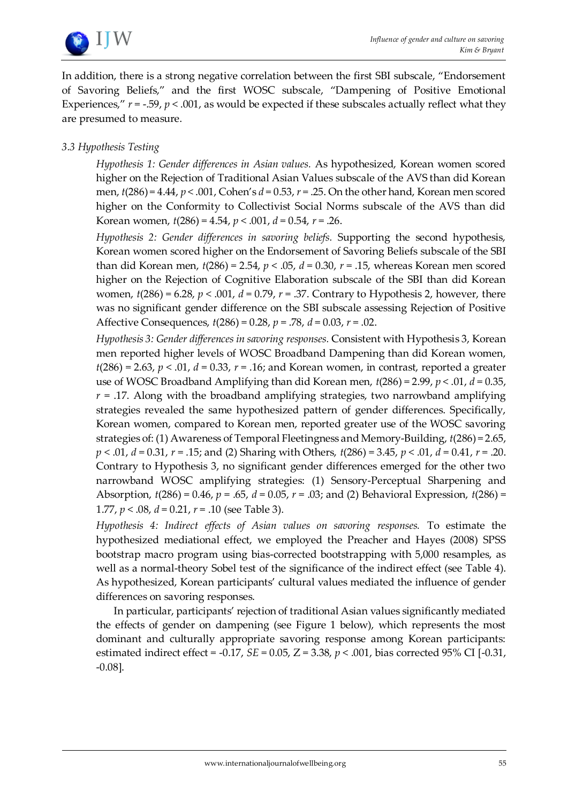

In addition, there is a strong negative correlation between the first SBI subscale, "Endorsement of Savoring Beliefs," and the first WOSC subscale, "Dampening of Positive Emotional Experiences,"  $r = -.59$ ,  $p < .001$ , as would be expected if these subscales actually reflect what they are presumed to measure.

# *3.3 Hypothesis Testing*

*Hypothesis 1: Gender differences in Asian values.* As hypothesized, Korean women scored higher on the Rejection of Traditional Asian Values subscale of the AVS than did Korean men, *t*(286) = 4.44, *p* < .001, Cohen's *d* = 0.53, *r* = .25. On the other hand, Korean men scored higher on the Conformity to Collectivist Social Norms subscale of the AVS than did Korean women, *t*(286) = 4.54, *p* < .001, *d* = 0.54, *r* = .26.

*Hypothesis 2: Gender differences in savoring beliefs.* Supporting the second hypothesis, Korean women scored higher on the Endorsement of Savoring Beliefs subscale of the SBI than did Korean men, *t*(286) = 2.54, *p* < .05, *d* = 0.30, *r* = .15, whereas Korean men scored higher on the Rejection of Cognitive Elaboration subscale of the SBI than did Korean women,  $t(286) = 6.28$ ,  $p < .001$ ,  $d = 0.79$ ,  $r = .37$ . Contrary to Hypothesis 2, however, there was no significant gender difference on the SBI subscale assessing Rejection of Positive Affective Consequences, *t*(286) = 0.28, *p* = .78, *d* = 0.03, *r* = .02.

*Hypothesis 3: Gender differences in savoring responses.* Consistent with Hypothesis 3, Korean men reported higher levels of WOSC Broadband Dampening than did Korean women, *t*(286) = 2.63, *p* < .01, *d* = 0.33, *r* = .16; and Korean women, in contrast, reported a greater use of WOSC Broadband Amplifying than did Korean men, *t*(286) = 2.99, *p* < .01, *d* = 0.35,  $r = 0.17$ . Along with the broadband amplifying strategies, two narrowband amplifying strategies revealed the same hypothesized pattern of gender differences. Specifically, Korean women, compared to Korean men, reported greater use of the WOSC savoring strategies of: (1) Awareness of Temporal Fleetingness and Memory-Building, *t*(286) = 2.65, *p* < .01, *d* = 0.31, *r* = .15; and (2) Sharing with Others, *t*(286) = 3.45, *p* < .01, *d* = 0.41, *r* = .20. Contrary to Hypothesis 3, no significant gender differences emerged for the other two narrowband WOSC amplifying strategies: (1) Sensory-Perceptual Sharpening and Absorption, *t*(286) = 0.46, *p* = .65, *d* = 0.05, *r* = .03; and (2) Behavioral Expression, *t*(286) = 1.77, *p* < .08, *d* = 0.21, *r* = .10 (see Table 3).

*Hypothesis 4: Indirect effects of Asian values on savoring responses.* To estimate the hypothesized mediational effect, we employed the Preacher and Hayes (2008) SPSS bootstrap macro program using bias-corrected bootstrapping with 5,000 resamples, as well as a normal-theory Sobel test of the significance of the indirect effect (see Table 4). As hypothesized, Korean participants' cultural values mediated the influence of gender differences on savoring responses.

In particular, participants' rejection of traditional Asian values significantly mediated the effects of gender on dampening (see Figure 1 below), which represents the most dominant and culturally appropriate savoring response among Korean participants: estimated indirect effect = -0.17, *SE* = 0.05, Z = 3.38, *p* < .001, bias corrected 95% CI [-0.31, -0.08].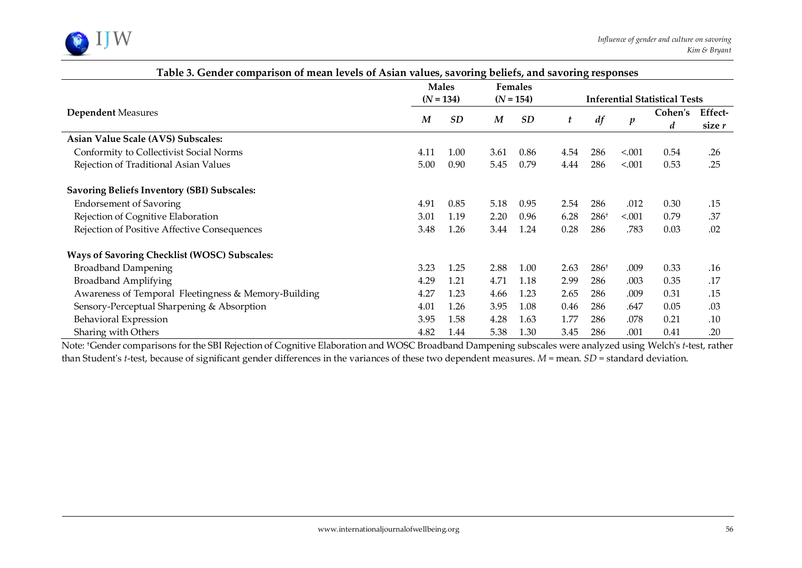

| Table 3. Gender comparison of mean levels of Asian values, savoring beliefs, and savoring responses |             |                                |                  |      |      |                  |                                      |              |                   |
|-----------------------------------------------------------------------------------------------------|-------------|--------------------------------|------------------|------|------|------------------|--------------------------------------|--------------|-------------------|
|                                                                                                     |             | <b>Males</b><br><b>Females</b> |                  |      |      |                  |                                      |              |                   |
|                                                                                                     | $(N = 134)$ | $(N = 154)$                    |                  |      |      |                  | <b>Inferential Statistical Tests</b> |              |                   |
| <b>Dependent Measures</b>                                                                           | M           | SD                             | $\boldsymbol{M}$ | SD   | t    | df               | $\boldsymbol{p}$                     | Cohen's<br>d | Effect-<br>size r |
| Asian Value Scale (AVS) Subscales:                                                                  |             |                                |                  |      |      |                  |                                      |              |                   |
| Conformity to Collectivist Social Norms                                                             | 4.11        | 1.00                           | 3.61             | 0.86 | 4.54 | 286              | < 0.001                              | 0.54         | .26               |
| Rejection of Traditional Asian Values                                                               | 5.00        | 0.90                           | 5.45             | 0.79 | 4.44 | 286              | < 0.001                              | 0.53         | .25               |
| <b>Savoring Beliefs Inventory (SBI) Subscales:</b>                                                  |             |                                |                  |      |      |                  |                                      |              |                   |
| <b>Endorsement of Savoring</b>                                                                      | 4.91        | 0.85                           | 5.18             | 0.95 | 2.54 | 286              | .012                                 | 0.30         | .15               |
| Rejection of Cognitive Elaboration                                                                  | 3.01        | 1.19                           | 2.20             | 0.96 | 6.28 | $286+$           | < 0.001                              | 0.79         | .37               |
| Rejection of Positive Affective Consequences                                                        | 3.48        | 1.26                           | 3.44             | 1.24 | 0.28 | 286              | .783                                 | 0.03         | .02               |
| <b>Ways of Savoring Checklist (WOSC) Subscales:</b>                                                 |             |                                |                  |      |      |                  |                                      |              |                   |
| <b>Broadband Dampening</b>                                                                          | 3.23        | 1.25                           | 2.88             | 1.00 | 2.63 | 286 <sup>†</sup> | .009                                 | 0.33         | .16               |
| <b>Broadband Amplifying</b>                                                                         | 4.29        | 1.21                           | 4.71             | 1.18 | 2.99 | 286              | .003                                 | 0.35         | .17               |
| Awareness of Temporal Fleetingness & Memory-Building                                                | 4.27        | 1.23                           | 4.66             | 1.23 | 2.65 | 286              | .009                                 | 0.31         | .15               |
| Sensory-Perceptual Sharpening & Absorption                                                          | 4.01        | 1.26                           | 3.95             | 1.08 | 0.46 | 286              | .647                                 | 0.05         | .03               |
| Behavioral Expression                                                                               | 3.95        | 1.58                           | 4.28             | 1.63 | 1.77 | 286              | .078                                 | 0.21         | .10               |
| Sharing with Others                                                                                 | 4.82        | 1.44                           | 5.38             | 1.30 | 3.45 | 286              | .001                                 | 0.41         | .20               |

Note: †Gender comparisons for the SBI Rejection of Cognitive Elaboration and WOSC Broadband Dampening subscales were analyzed using Welch's *t*-test, rather than Student's *t*-test, because of significant gender differences in the variances of these two dependent measures. *M* = mean. *SD* = standard deviation.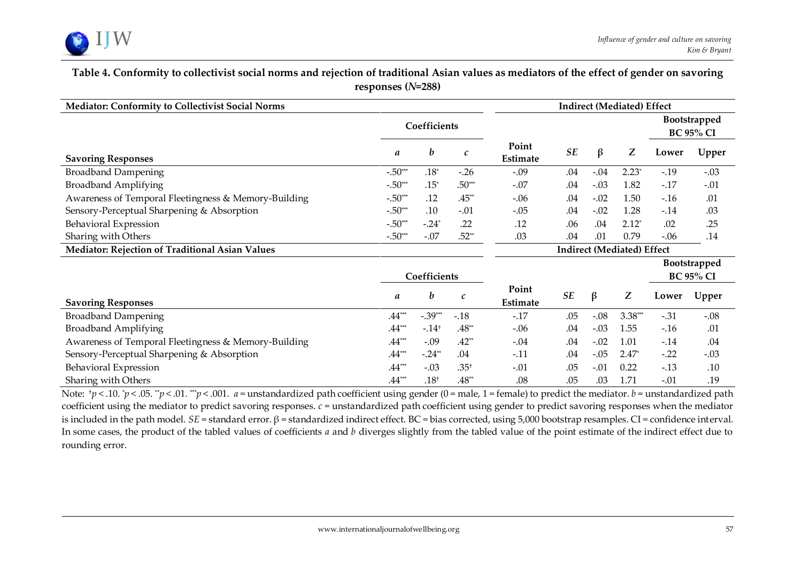

#### **Table 4. Conformity to collectivist social norms and rejection of traditional Asian values as mediators of the effect of gender on savoring responses (***N***=288)**

| <b>Mediator: Conformity to Collectivist Social Norms</b> |           |                         |                   | <b>Indirect (Mediated) Effect</b> |     |        |                                   |                                         |                     |  |
|----------------------------------------------------------|-----------|-------------------------|-------------------|-----------------------------------|-----|--------|-----------------------------------|-----------------------------------------|---------------------|--|
|                                                          |           | Coefficients            |                   |                                   |     |        |                                   | <b>Bootstrapped</b><br><b>BC 95% CI</b> |                     |  |
| <b>Savoring Responses</b>                                | a         | b                       | $\mathcal C$      | Point<br>Estimate                 | SE  | β      | Z                                 | Lower                                   | Upper               |  |
| <b>Broadband Dampening</b>                               | $-.50***$ | $.18*$                  | $-26$             | $-.09$                            | .04 | $-.04$ | $2.23*$                           | $-.19$                                  | $-.03$              |  |
| <b>Broadband Amplifying</b>                              | $-.50***$ | $.15^*$                 | $.50***$          | $-.07$                            | .04 | $-.03$ | 1.82                              | $-.17$                                  | $-.01$              |  |
| Awareness of Temporal Fleetingness & Memory-Building     | $-.50***$ | .12                     | $.45**$           | $-.06$                            | .04 | $-.02$ | 1.50                              | $-.16$                                  | .01                 |  |
| Sensory-Perceptual Sharpening & Absorption               | $-.50***$ | .10                     | $-.01$            | $-.05$                            | .04 | $-.02$ | 1.28                              | $-.14$                                  | .03                 |  |
| Behavioral Expression                                    | $-.50***$ | $-.24*$                 | .22               | .12                               | .06 | .04    | $2.12*$                           | .02                                     | .25                 |  |
| Sharing with Others                                      | $-.50***$ | $-.07$                  | $.52**$           | .03                               | .04 | .01    | 0.79                              | $-.06$                                  | .14                 |  |
| Mediator: Rejection of Traditional Asian Values          |           |                         |                   |                                   |     |        | <b>Indirect (Mediated) Effect</b> |                                         |                     |  |
|                                                          |           |                         |                   |                                   |     |        |                                   |                                         | <b>Bootstrapped</b> |  |
|                                                          |           | Coefficients            |                   |                                   |     |        |                                   | <b>BC 95% CI</b>                        |                     |  |
| <b>Savoring Responses</b>                                | a         | b                       | $\mathcal{C}_{0}$ | Point<br>Estimate                 | SE  | β      | Z                                 | Lower                                   | Upper               |  |
| <b>Broadband Dampening</b>                               | $.44***$  | $-.39***$               | $-18$             | $-17$                             | .05 | $-.08$ | $3.38***$                         | $-.31$                                  | $-.08$              |  |
| <b>Broadband Amplifying</b>                              | $.44***$  | $-.14+$                 | $.48**$           | $-.06$                            | .04 | $-.03$ | 1.55                              | $-16$                                   | .01                 |  |
| Awareness of Temporal Fleetingness & Memory-Building     | $.44***$  | $-.09$                  | $.42**$           | $-.04$                            | .04 | $-.02$ | 1.01                              | $-.14$                                  | .04                 |  |
| Sensory-Perceptual Sharpening & Absorption               | $.44***$  | $-.24"$                 | .04               | $-.11$                            | .04 | $-.05$ | $2.47*$                           | $-22$                                   | $-.03$              |  |
| Behavioral Expression                                    | $.44***$  | $-.03$                  | $.35^{+}$         | $-.01$                            | .05 | $-.01$ | 0.22                              | $-.13$                                  | .10                 |  |
| Sharing with Others                                      | $.44***$  | $.18^{\text{\tiny{+}}}$ | $.48**$           | .08                               | .05 | .03    | 1.71                              | $-.01$                                  | .19                 |  |

Note:  $tp < .10$ .  $'p < .05$ .  $''p < .01$ .  $'''p < .001$ . *a* = unstandardized path coefficient using gender (0 = male, 1 = female) to predict the mediator. *b* = unstandardized path coefficient using the mediator to predict savoring responses.  $c$  = unstandardized path coefficient using gender to predict savoring responses when the mediator is included in the path model.  $SE$  = standard error.  $\beta$  = standardized indirect effect.  $BC$  = bias corrected, using 5,000 bootstrap resamples.  $CI$  = confidence interval. In some cases, the product of the tabled values of coefficients *a* and *b* diverges slightly from the tabled value of the point estimate of the indirect effect due to rounding error.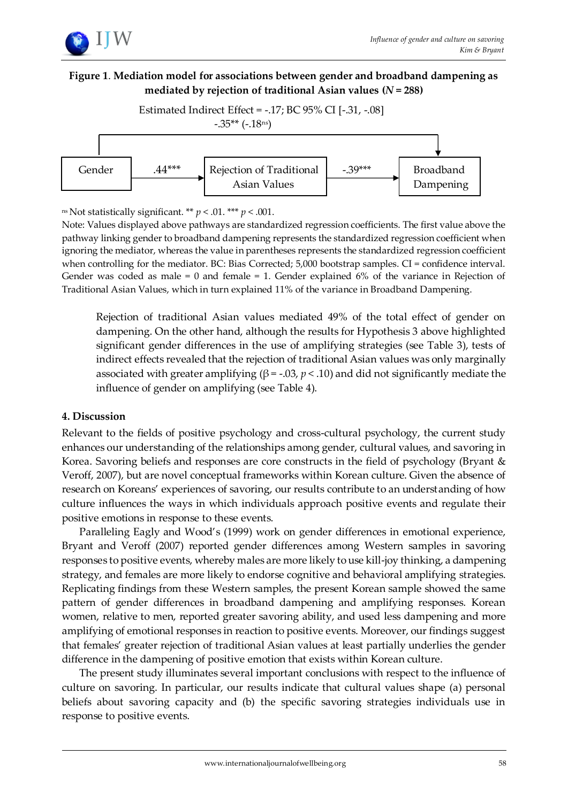

## **Figure 1**. **Mediation model for associations between gender and broadband dampening as mediated by rejection of traditional Asian values (***N* **= 288)**



ns Not statistically significant. \*\* *p* < .01. \*\*\* *p* < .001.

Note: Values displayed above pathways are standardized regression coefficients. The first value above the pathway linking gender to broadband dampening represents the standardized regression coefficient when ignoring the mediator, whereas the value in parentheses represents the standardized regression coefficient when controlling for the mediator. BC: Bias Corrected; 5,000 bootstrap samples. CI = confidence interval. Gender was coded as male = 0 and female = 1. Gender explained 6% of the variance in Rejection of Traditional Asian Values, which in turn explained 11% of the variance in Broadband Dampening.

Rejection of traditional Asian values mediated 49% of the total effect of gender on dampening. On the other hand, although the results for Hypothesis 3 above highlighted significant gender differences in the use of amplifying strategies (see Table 3), tests of indirect effects revealed that the rejection of traditional Asian values was only marginally associated with greater amplifying ( $\beta$  = -.03,  $p$  < .10) and did not significantly mediate the influence of gender on amplifying (see Table 4).

## **4. Discussion**

Relevant to the fields of positive psychology and cross-cultural psychology, the current study enhances our understanding of the relationships among gender, cultural values, and savoring in Korea. Savoring beliefs and responses are core constructs in the field of psychology (Bryant & Veroff, 2007), but are novel conceptual frameworks within Korean culture. Given the absence of research on Koreans' experiences of savoring, our results contribute to an understanding of how culture influences the ways in which individuals approach positive events and regulate their positive emotions in response to these events.

Paralleling Eagly and Wood's (1999) work on gender differences in emotional experience, Bryant and Veroff (2007) reported gender differences among Western samples in savoring responses to positive events, whereby males are more likely to use kill-joy thinking, a dampening strategy, and females are more likely to endorse cognitive and behavioral amplifying strategies. Replicating findings from these Western samples, the present Korean sample showed the same pattern of gender differences in broadband dampening and amplifying responses. Korean women, relative to men, reported greater savoring ability, and used less dampening and more amplifying of emotional responses in reaction to positive events. Moreover, our findings suggest that females' greater rejection of traditional Asian values at least partially underlies the gender difference in the dampening of positive emotion that exists within Korean culture.

The present study illuminates several important conclusions with respect to the influence of culture on savoring. In particular, our results indicate that cultural values shape (a) personal beliefs about savoring capacity and (b) the specific savoring strategies individuals use in response to positive events.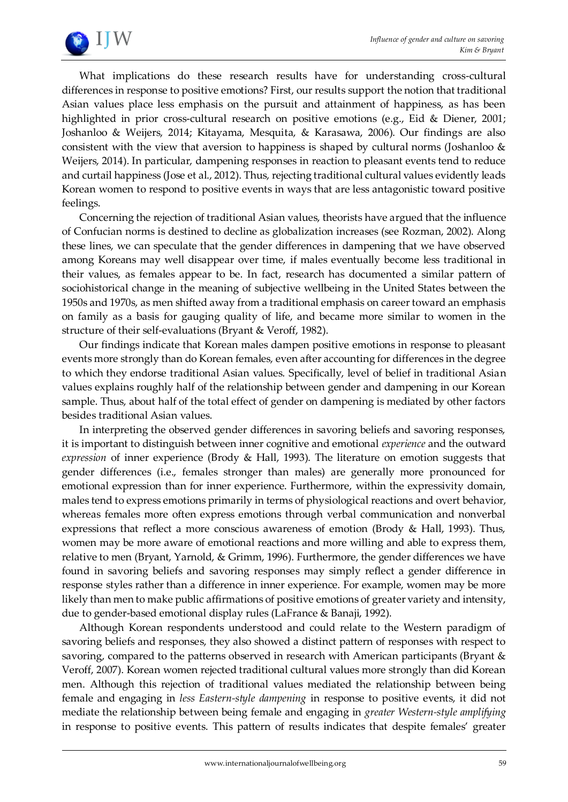

What implications do these research results have for understanding cross-cultural differences in response to positive emotions? First, our results support the notion that traditional Asian values place less emphasis on the pursuit and attainment of happiness, as has been highlighted in prior cross-cultural research on positive emotions (e.g., Eid & Diener, 2001; Joshanloo & Weijers, 2014; Kitayama, Mesquita, & Karasawa, 2006). Our findings are also consistent with the view that aversion to happiness is shaped by cultural norms (Joshanloo & Weijers, 2014). In particular, dampening responses in reaction to pleasant events tend to reduce and curtail happiness (Jose et al., 2012). Thus, rejecting traditional cultural values evidently leads Korean women to respond to positive events in ways that are less antagonistic toward positive feelings.

Concerning the rejection of traditional Asian values, theorists have argued that the influence of Confucian norms is destined to decline as globalization increases (see Rozman, 2002). Along these lines, we can speculate that the gender differences in dampening that we have observed among Koreans may well disappear over time, if males eventually become less traditional in their values, as females appear to be. In fact, research has documented a similar pattern of sociohistorical change in the meaning of subjective wellbeing in the United States between the 1950s and 1970s, as men shifted away from a traditional emphasis on career toward an emphasis on family as a basis for gauging quality of life, and became more similar to women in the structure of their self-evaluations (Bryant & Veroff, 1982).

Our findings indicate that Korean males dampen positive emotions in response to pleasant events more strongly than do Korean females, even after accounting for differences in the degree to which they endorse traditional Asian values. Specifically, level of belief in traditional Asian values explains roughly half of the relationship between gender and dampening in our Korean sample. Thus, about half of the total effect of gender on dampening is mediated by other factors besides traditional Asian values.

In interpreting the observed gender differences in savoring beliefs and savoring responses, it is important to distinguish between inner cognitive and emotional *experience* and the outward *expression* of inner experience (Brody & Hall, 1993). The literature on emotion suggests that gender differences (i.e., females stronger than males) are generally more pronounced for emotional expression than for inner experience. Furthermore, within the expressivity domain, males tend to express emotions primarily in terms of physiological reactions and overt behavior, whereas females more often express emotions through verbal communication and nonverbal expressions that reflect a more conscious awareness of emotion (Brody & Hall, 1993). Thus, women may be more aware of emotional reactions and more willing and able to express them, relative to men (Bryant, Yarnold, & Grimm, 1996). Furthermore, the gender differences we have found in savoring beliefs and savoring responses may simply reflect a gender difference in response styles rather than a difference in inner experience. For example, women may be more likely than men to make public affirmations of positive emotions of greater variety and intensity, due to gender-based emotional display rules (LaFrance & Banaji, 1992).

Although Korean respondents understood and could relate to the Western paradigm of savoring beliefs and responses, they also showed a distinct pattern of responses with respect to savoring, compared to the patterns observed in research with American participants (Bryant & Veroff, 2007). Korean women rejected traditional cultural values more strongly than did Korean men. Although this rejection of traditional values mediated the relationship between being female and engaging in *less Eastern-style dampening* in response to positive events, it did not mediate the relationship between being female and engaging in *greater Western-style amplifying* in response to positive events. This pattern of results indicates that despite females' greater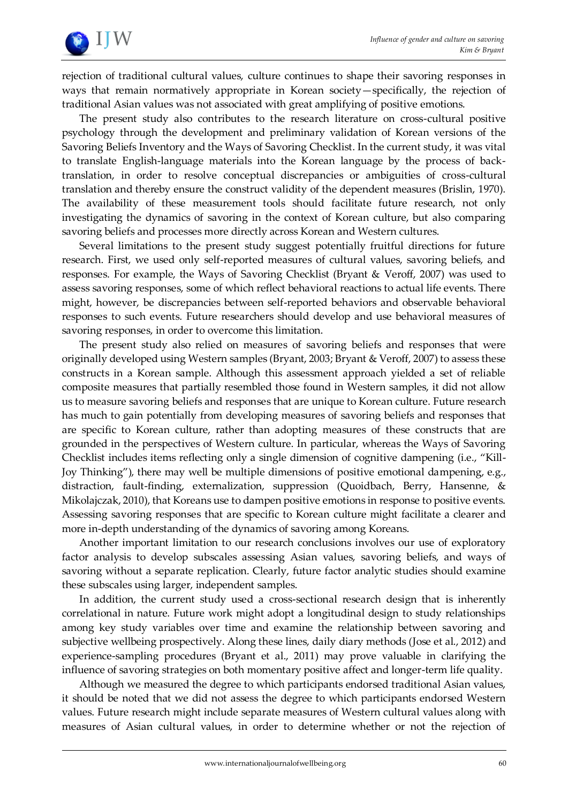

rejection of traditional cultural values, culture continues to shape their savoring responses in ways that remain normatively appropriate in Korean society—specifically, the rejection of traditional Asian values was not associated with great amplifying of positive emotions.

The present study also contributes to the research literature on cross-cultural positive psychology through the development and preliminary validation of Korean versions of the Savoring Beliefs Inventory and the Ways of Savoring Checklist. In the current study, it was vital to translate English-language materials into the Korean language by the process of backtranslation, in order to resolve conceptual discrepancies or ambiguities of cross-cultural translation and thereby ensure the construct validity of the dependent measures (Brislin, 1970). The availability of these measurement tools should facilitate future research, not only investigating the dynamics of savoring in the context of Korean culture, but also comparing savoring beliefs and processes more directly across Korean and Western cultures.

Several limitations to the present study suggest potentially fruitful directions for future research. First, we used only self-reported measures of cultural values, savoring beliefs, and responses. For example, the Ways of Savoring Checklist (Bryant & Veroff, 2007) was used to assess savoring responses, some of which reflect behavioral reactions to actual life events. There might, however, be discrepancies between self-reported behaviors and observable behavioral responses to such events. Future researchers should develop and use behavioral measures of savoring responses, in order to overcome this limitation.

The present study also relied on measures of savoring beliefs and responses that were originally developed using Western samples (Bryant, 2003; Bryant & Veroff, 2007) to assess these constructs in a Korean sample. Although this assessment approach yielded a set of reliable composite measures that partially resembled those found in Western samples, it did not allow us to measure savoring beliefs and responses that are unique to Korean culture. Future research has much to gain potentially from developing measures of savoring beliefs and responses that are specific to Korean culture, rather than adopting measures of these constructs that are grounded in the perspectives of Western culture. In particular, whereas the Ways of Savoring Checklist includes items reflecting only a single dimension of cognitive dampening (i.e., "Kill-Joy Thinking"), there may well be multiple dimensions of positive emotional dampening, e.g., distraction, fault-finding, externalization, suppression (Quoidbach, Berry, Hansenne, & Mikolajczak, 2010), that Koreans use to dampen positive emotions in response to positive events. Assessing savoring responses that are specific to Korean culture might facilitate a clearer and more in-depth understanding of the dynamics of savoring among Koreans.

Another important limitation to our research conclusions involves our use of exploratory factor analysis to develop subscales assessing Asian values, savoring beliefs, and ways of savoring without a separate replication. Clearly, future factor analytic studies should examine these subscales using larger, independent samples.

In addition, the current study used a cross-sectional research design that is inherently correlational in nature. Future work might adopt a longitudinal design to study relationships among key study variables over time and examine the relationship between savoring and subjective wellbeing prospectively. Along these lines, daily diary methods (Jose et al., 2012) and experience-sampling procedures (Bryant et al., 2011) may prove valuable in clarifying the influence of savoring strategies on both momentary positive affect and longer-term life quality.

Although we measured the degree to which participants endorsed traditional Asian values, it should be noted that we did not assess the degree to which participants endorsed Western values. Future research might include separate measures of Western cultural values along with measures of Asian cultural values, in order to determine whether or not the rejection of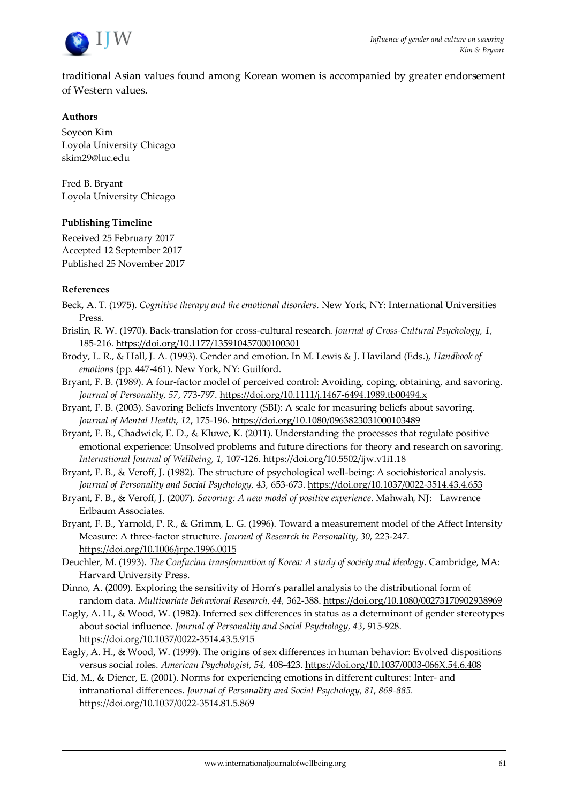

traditional Asian values found among Korean women is accompanied by greater endorsement of Western values.

#### **Authors**

Soyeon Kim Loyola University Chicago [skim29@luc.edu](mailto:skim29@luc.edu)

Fred B. Bryant Loyola University Chicago

#### **Publishing Timeline**

Received 25 February 2017 Accepted 12 September 2017 Published 25 November 2017

#### **References**

- Beck, A. T. (1975). *Cognitive therapy and the emotional disorders.* New York, NY: International Universities Press.
- Brislin, R. W. (1970). Back-translation for cross-cultural research. *Journal of Cross-Cultural Psychology, 1*, 185-216. <https://doi.org/10.1177/135910457000100301>
- Brody, L. R., & Hall, J. A. (1993). Gender and emotion. In M. Lewis & J. Haviland (Eds.), *Handbook of emotions* (pp. 447-461). New York, NY: Guilford.
- Bryant, F. B. (1989). A four-factor model of perceived control: Avoiding, coping, obtaining, and savoring. *Journal of Personality, 57*, 773-797. <https://doi.org/10.1111/j.1467-6494.1989.tb00494.x>
- Bryant, F. B. (2003). Savoring Beliefs Inventory (SBI): A scale for measuring beliefs about savoring. *Journal of Mental Health, 12*, 175-196. <https://doi.org/10.1080/0963823031000103489>
- Bryant, F. B., Chadwick, E. D., & Kluwe, K. (2011). Understanding the processes that regulate positive emotional experience: Unsolved problems and future directions for theory and research on savoring. *International Journal of Wellbeing, 1,* 107-126. <https://doi.org/10.5502/ijw.v1i1.18>
- Bryant, F. B., & Veroff, J. (1982). The structure of psychological well-being: A sociohistorical analysis. *Journal of Personality and Social Psychology, 43,* 653-673. <https://doi.org/10.1037/0022-3514.43.4.653>
- Bryant, F. B., & Veroff, J. (2007). *Savoring: A new model of positive experience*. Mahwah, NJ: Lawrence Erlbaum Associates.
- Bryant, F. B., Yarnold, P. R., & Grimm, L. G. (1996). Toward a measurement model of the Affect Intensity Measure: A three-factor structure. *Journal of Research in Personality, 30,* 223-247. <https://doi.org/10.1006/jrpe.1996.0015>
- Deuchler, M. (1993). *The Confucian transformation of Korea: A study of society and ideology*. Cambridge, MA: Harvard University Press.
- Dinno, A. (2009). Exploring the sensitivity of Horn's parallel analysis to the distributional form of random data. *Multivariate Behavioral Research, 44,* 362-388. <https://doi.org/10.1080/00273170902938969>
- Eagly, A. H., & Wood, W. (1982). Inferred sex differences in status as a determinant of gender stereotypes about social influence. *Journal of Personality and Social Psychology, 43*, 915-928. <https://doi.org/10.1037/0022-3514.43.5.915>
- Eagly, A. H., & Wood, W. (1999). The origins of sex differences in human behavior: Evolved dispositions versus social roles. *American Psychologist, 54,* 408-423[. https://doi.org/10.1037/0003-066X.54.6.408](https://doi.org/10.1037/0003-066X.54.6.408)
- Eid, M., & Diener, E. (2001). Norms for experiencing emotions in different cultures: Inter- and intranational differences. *Journal of Personality and Social Psychology, 81, 869-885.* <https://doi.org/10.1037/0022-3514.81.5.869>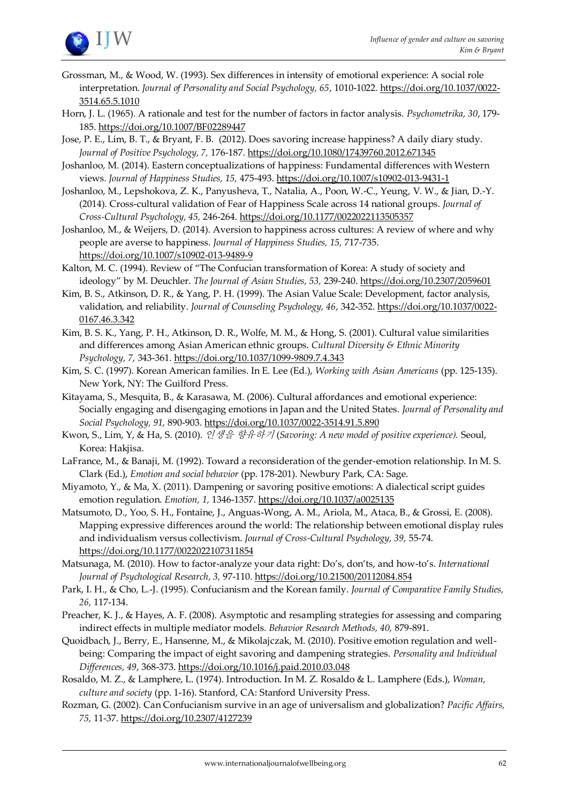

- Grossman, M., & Wood, W. (1993). Sex differences in intensity of emotional experience: A social role interpretation. *Journal of Personality and Social Psychology, 65*, 1010-1022. [https://doi.org/10.1037/0022-](https://doi.org/10.1037/0022-3514.65.5.1010) [3514.65.5.1010](https://doi.org/10.1037/0022-3514.65.5.1010)
- Horn, J. L. (1965). A rationale and test for the number of factors in factor analysis. *Psychometrika, 30*, 179- 185. <https://doi.org/10.1007/BF02289447>
- Jose, P. E., Lim, B. T., & Bryant, F. B. (2012). Does savoring increase happiness? A daily diary study. *Journal of Positive Psychology, 7,* 176-187. <https://doi.org/10.1080/17439760.2012.671345>
- Joshanloo, M. (2014). Eastern conceptualizations of happiness: Fundamental differences with Western views. *Journal of Happiness Studies, 15,* 475-493. <https://doi.org/10.1007/s10902-013-9431-1>
- Joshanloo, M., Lepshokova, Z. K., Panyusheva, T., Natalia, A., Poon, W.-C., Yeung, V. W., & Jian, D.-Y. (2014). Cross-cultural validation of Fear of Happiness Scale across 14 national groups. *Journal of Cross-Cultural Psychology, 45,* 246-264. <https://doi.org/10.1177/0022022113505357>
- Joshanloo, M., & Weijers, D. (2014). Aversion to happiness across cultures: A review of where and why people are averse to happiness. *Journal of Happiness Studies, 15,* 717-735. <https://doi.org/10.1007/s10902-013-9489-9>
- Kalton, M. C. (1994). Review of "The Confucian transformation of Korea: A study of society and ideology" by M. Deuchler. *The Journal of Asian Studies, 53,* 239-240. <https://doi.org/10.2307/2059601>
- Kim, B. S., Atkinson, D. R., & Yang, P. H. (1999). The Asian Value Scale: Development, factor analysis, validation, and reliability. *Journal of Counseling Psychology, 46*, 342-352. [https://doi.org/10.1037/0022-](https://doi.org/10.1037/0022-0167.46.3.342) [0167.46.3.342](https://doi.org/10.1037/0022-0167.46.3.342)
- Kim, B. S. K., Yang, P. H., Atkinson, D. R., Wolfe, M. M., & Hong, S. (2001). Cultural value similarities and differences among Asian American ethnic groups. *Cultural Diversity & Ethnic Minority Psychology, 7,* 343-361. <https://doi.org/10.1037/1099-9809.7.4.343>
- Kim, S. C. (1997). Korean American families. In E. Lee (Ed.), *Working with Asian Americans* (pp. 125-135). New York, NY: The Guilford Press.
- Kitayama, S., Mesquita, B., & Karasawa, M. (2006). Cultural affordances and emotional experience: Socially engaging and disengaging emotions in Japan and the United States. *Journal of Personality and Social Psychology, 91,* 890-903. <https://doi.org/10.1037/0022-3514.91.5.890>
- Kwon, S., Lim, Y, & Ha, S. (2010). 인생을 향유하기 (*Savoring: A new model of positive experience).* Seoul, Korea: Hakjisa.
- LaFrance, M., & Banaji, M. (1992). Toward a reconsideration of the gender-emotion relationship. In M. S. Clark (Ed.), *Emotion and social behavior* (pp. 178-201). Newbury Park, CA: Sage.
- Miyamoto, Y., & Ma, X. (2011). Dampening or savoring positive emotions: A dialectical script guides emotion regulation. *Emotion, 1,* 1346-1357. <https://doi.org/10.1037/a0025135>
- Matsumoto, D., Yoo, S. H., Fontaine, J., Anguas-Wong, A. M., Ariola, M., Ataca, B., & Grossi, E. (2008). Mapping expressive differences around the world: The relationship between emotional display rules and individualism versus collectivism. *Journal of Cross-Cultural Psychology, 39,* 55-74. <https://doi.org/10.1177/0022022107311854>
- Matsunaga, M. (2010). How to factor-analyze your data right: Do's, don'ts, and how-to's. *International Journal of Psychological Research, 3,* 97-110. <https://doi.org/10.21500/20112084.854>
- Park, I. H., & Cho, L.-J. (1995). Confucianism and the Korean family. *Journal of Comparative Family Studies, 26,* 117-134.
- Preacher, K. J., & Hayes, A. F. (2008). Asymptotic and resampling strategies for assessing and comparing indirect effects in multiple mediator models. *Behavior Research Methods, 40,* 879-891.
- Quoidbach, J., Berry, E., Hansenne, M., & Mikolajczak, M. (2010). Positive emotion regulation and wellbeing: Comparing the impact of eight savoring and dampening strategies. *Personality and Individual Differences, 49*, 368-373. <https://doi.org/10.1016/j.paid.2010.03.048>
- Rosaldo, M. Z., & Lamphere, L. (1974). Introduction. In M. Z. Rosaldo & L. Lamphere (Eds.), *Woman, culture and society* (pp. 1-16). Stanford, CA: Stanford University Press.
- Rozman, G. (2002). Can Confucianism survive in an age of universalism and globalization? *Pacific Affairs, 75,* 11-37. <https://doi.org/10.2307/4127239>